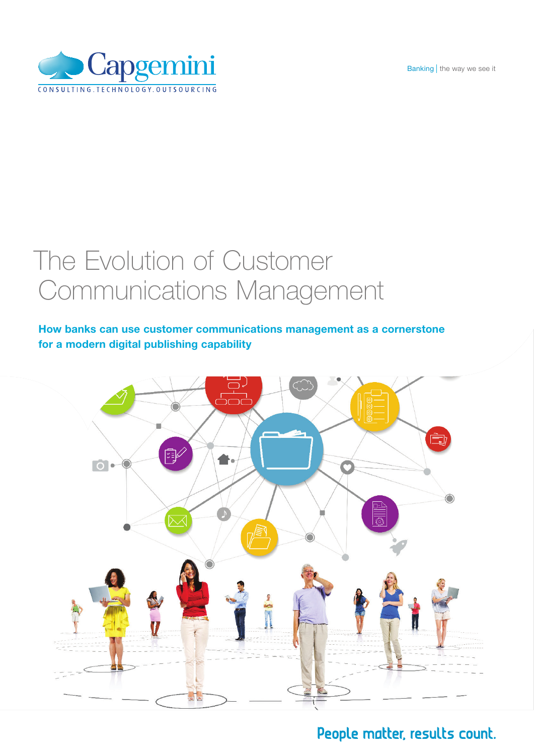Banking | the way we see it



### The Evolution of Customer Communications Management

#### How banks can use customer communications management as a cornerstone for a modern digital publishing capability



### People matter, results count.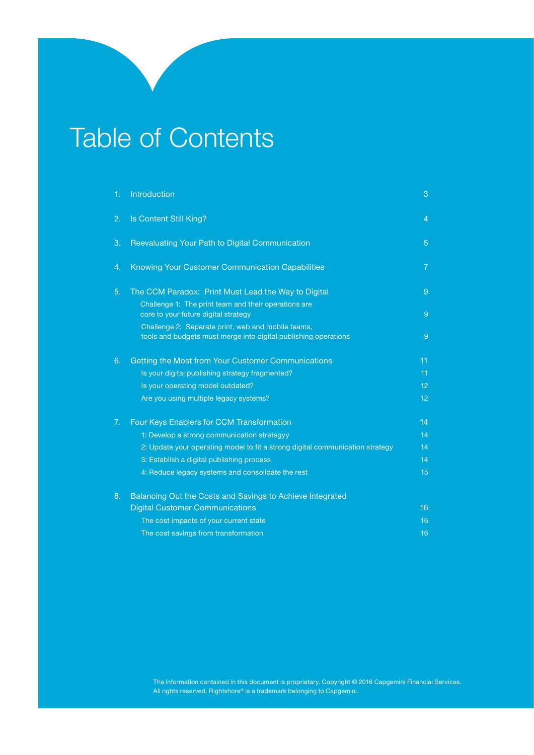### Table of Contents

| 1. | Introduction                                                                                                          | 3              |
|----|-----------------------------------------------------------------------------------------------------------------------|----------------|
| 2. | Is Content Still King?                                                                                                | $\overline{4}$ |
| 3. | Reevaluating Your Path to Digital Communication                                                                       | 5              |
| 4. | Knowing Your Customer Communication Capabilities                                                                      | $\overline{7}$ |
| 5. | The CCM Paradox: Print Must Lead the Way to Digital<br>Challenge 1: The print team and their operations are           | 9              |
|    | core to your future digital strategy                                                                                  | 9              |
|    | Challenge 2: Separate print, web and mobile teams,<br>tools and budgets must merge into digital publishing operations | 9              |
| 6. | Getting the Most from Your Customer Communications                                                                    | 11             |
|    | Is your digital publishing strategy fragmented?                                                                       | 11             |
|    | Is your operating model outdated?                                                                                     | 12             |
|    | Are you using multiple legacy systems?                                                                                | 12             |
| 7. | Four Keys Enablers for CCM Transformation                                                                             | 14             |
|    | 1: Develop a strong communication strategyy                                                                           | 14             |
|    | 2: Update your operating model to fit a strong digital communication strategy                                         | 14             |
|    | 3: Establish a digital publishing process                                                                             | 14             |
|    | 4: Reduce legacy systems and consolidate the rest                                                                     | 15             |
| 8. | Balancing Out the Costs and Savings to Achieve Integrated                                                             |                |
|    | <b>Digital Customer Communications</b>                                                                                | 16             |
|    | The cost impacts of your current state                                                                                | 16             |
|    | The cost savings from transformation                                                                                  | 16             |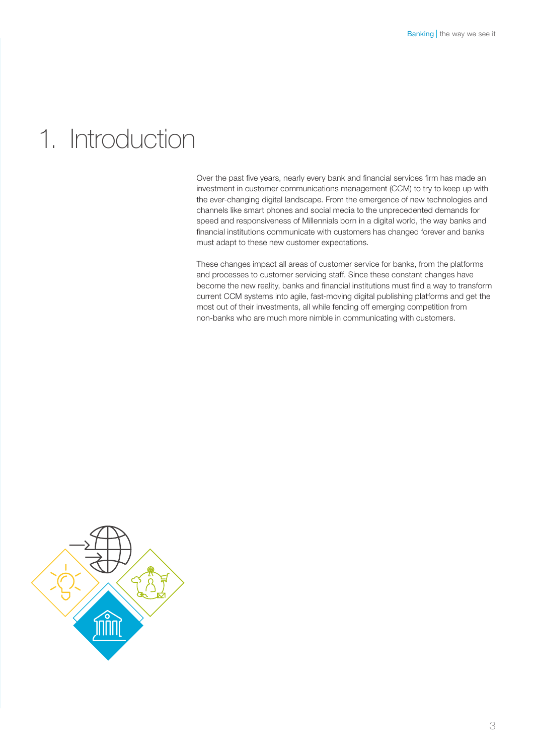### 1. Introduction

Over the past five years, nearly every bank and financial services firm has made an investment in customer communications management (CCM) to try to keep up with the ever-changing digital landscape. From the emergence of new technologies and channels like smart phones and social media to the unprecedented demands for speed and responsiveness of Millennials born in a digital world, the way banks and financial institutions communicate with customers has changed forever and banks must adapt to these new customer expectations.

These changes impact all areas of customer service for banks, from the platforms and processes to customer servicing staff. Since these constant changes have become the new reality, banks and financial institutions must find a way to transform current CCM systems into agile, fast-moving digital publishing platforms and get the most out of their investments, all while fending off emerging competition from non-banks who are much more nimble in communicating with customers.

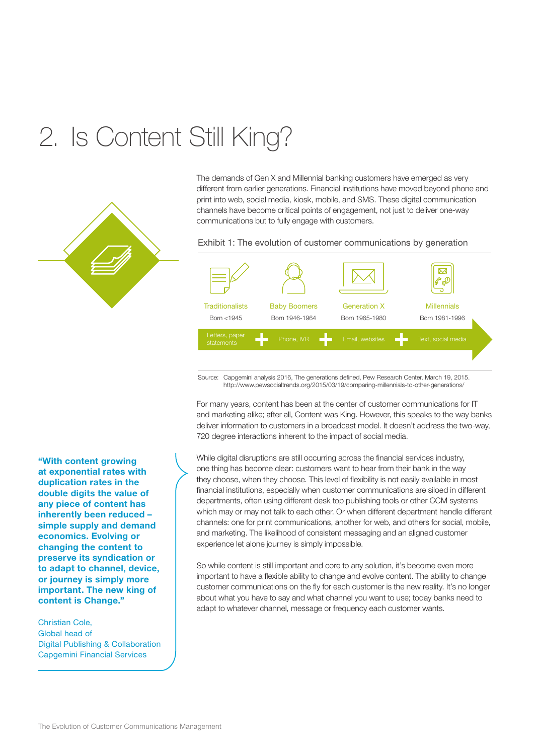## 2. Is Content Still King?



The demands of Gen X and Millennial banking customers have emerged as very different from earlier generations. Financial institutions have moved beyond phone and print into web, social media, kiosk, mobile, and SMS. These digital communication channels have become critical points of engagement, not just to deliver one-way communications but to fully engage with customers.

Exhibit 1: The evolution of customer communications by generation



Source: Capgemini analysis 2016, The generations defined, Pew Research Center, March 19, 2015. http://www.pewsocialtrends.org/2015/03/19/comparing-millennials-to-other-generations/

For many years, content has been at the center of customer communications for IT and marketing alike; after all, Content was King. However, this speaks to the way banks deliver information to customers in a broadcast model. It doesn't address the two-way, 720 degree interactions inherent to the impact of social media.

While digital disruptions are still occurring across the financial services industry, one thing has become clear: customers want to hear from their bank in the way they choose, when they choose. This level of flexibility is not easily available in most financial institutions, especially when customer communications are siloed in different departments, often using different desk top publishing tools or other CCM systems which may or may not talk to each other. Or when different department handle different channels: one for print communications, another for web, and others for social, mobile, and marketing. The likelihood of consistent messaging and an aligned customer experience let alone journey is simply impossible.

So while content is still important and core to any solution, it's become even more important to have a flexible ability to change and evolve content. The ability to change customer communications on the fly for each customer is the new reality. It's no longer about what you have to say and what channel you want to use; today banks need to adapt to whatever channel, message or frequency each customer wants.

"With content growing at exponential rates with duplication rates in the double digits the value of any piece of content has inherently been reduced – simple supply and demand economics. Evolving or changing the content to preserve its syndication or to adapt to channel, device, or journey is simply more important. The new king of content is Change."

Christian Cole, Global head of Digital Publishing & Collaboration Capgemini Financial Services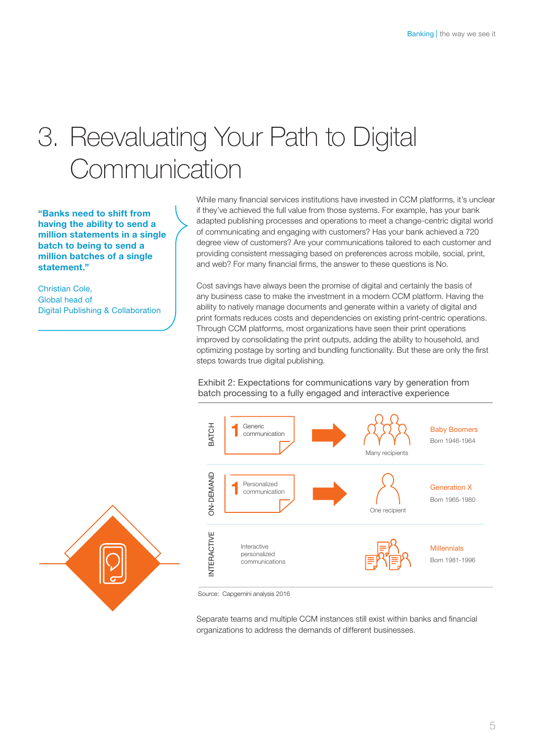## 3. Reevaluating Your Path to Digital **Communication**

"Banks need to shift from having the ability to send a million statements in a single batch to being to send a million batches of a single statement."

Christian Cole, Global head of Digital Publishing & Collaboration

While many financial services institutions have invested in CCM platforms, it's unclear if they've achieved the full value from those systems. For example, has your bank adapted publishing processes and operations to meet a change-centric digital world of communicating and engaging with customers? Has your bank achieved a 720 degree view of customers? Are your communications tailored to each customer and providing consistent messaging based on preferences across mobile, social, print, and web? For many financial firms, the answer to these questions is No.

Cost savings have always been the promise of digital and certainly the basis of any business case to make the investment in a modern CCM platform. Having the ability to natively manage documents and generate within a variety of digital and print formats reduces costs and dependencies on existing print-centric operations. Through CCM platforms, most organizations have seen their print operations improved by consolidating the print outputs, adding the ability to household, and optimizing postage by sorting and bundling functionality. But these are only the first steps towards true digital publishing.

Exhibit 2: Expectations for communications vary by generation from batch processing to a fully engaged and interactive experience



Source: Capgemini analysis 2016

Separate teams and multiple CCM instances still exist within banks and financial organizations to address the demands of different businesses.

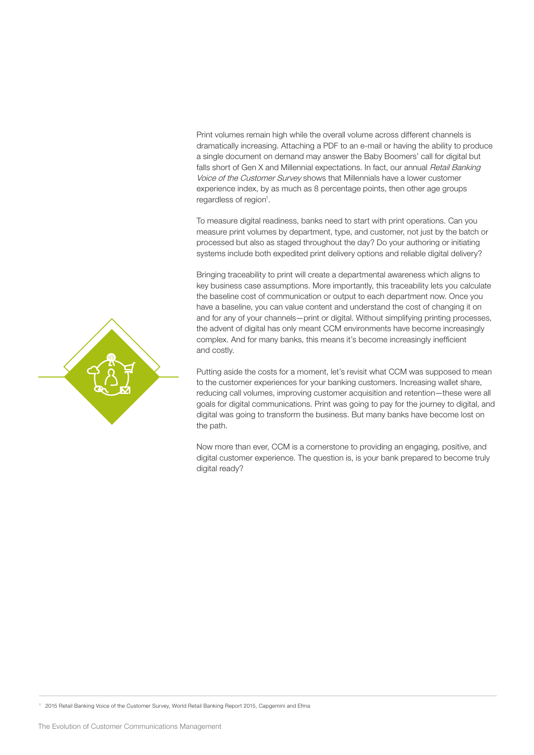Print volumes remain high while the overall volume across different channels is dramatically increasing. Attaching a PDF to an e-mail or having the ability to produce a single document on demand may answer the Baby Boomers' call for digital but falls short of Gen X and Millennial expectations. In fact, our annual Retail Banking Voice of the Customer Survey shows that Millennials have a lower customer experience index, by as much as 8 percentage points, then other age groups regardless of region<sup>1</sup>.

To measure digital readiness, banks need to start with print operations. Can you measure print volumes by department, type, and customer, not just by the batch or processed but also as staged throughout the day? Do your authoring or initiating systems include both expedited print delivery options and reliable digital delivery?

Bringing traceability to print will create a departmental awareness which aligns to key business case assumptions. More importantly, this traceability lets you calculate the baseline cost of communication or output to each department now. Once you have a baseline, you can value content and understand the cost of changing it on and for any of your channels—print or digital. Without simplifying printing processes, the advent of digital has only meant CCM environments have become increasingly complex. And for many banks, this means it's become increasingly inefficient and costly.

Putting aside the costs for a moment, let's revisit what CCM was supposed to mean to the customer experiences for your banking customers. Increasing wallet share, reducing call volumes, improving customer acquisition and retention—these were all goals for digital communications. Print was going to pay for the journey to digital, and digital was going to transform the business. But many banks have become lost on the path.

Now more than ever, CCM is a cornerstone to providing an engaging, positive, and digital customer experience. The question is, is your bank prepared to become truly digital ready?



<sup>1</sup> 2015 Retail Banking Voice of the Customer Survey, World Retail Banking Report 2015, Capgemini and Efma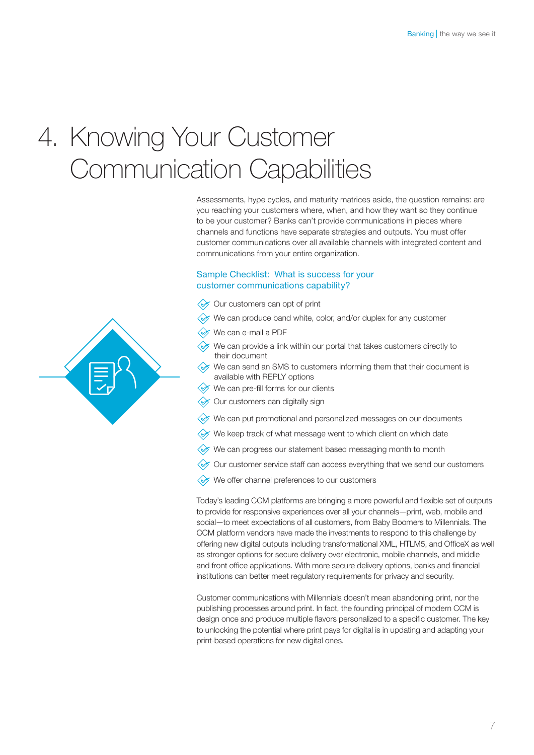## 4. Knowing Your Customer Communication Capabilities

Assessments, hype cycles, and maturity matrices aside, the question remains: are you reaching your customers where, when, and how they want so they continue to be your customer? Banks can't provide communications in pieces where channels and functions have separate strategies and outputs. You must offer customer communications over all available channels with integrated content and communications from your entire organization.

#### Sample Checklist: What is success for your customer communications capability?

- Our customers can opt of print
- We can produce band white, color, and/or duplex for any customer
- We can e-mail a PDF
- $\diamondsuit$  We can provide a link within our portal that takes customers directly to their document
- $\diamondsuit$  We can send an SMS to customers informing them that their document is available with REPLY options
- We can pre-fill forms for our clients
- Our customers can digitally sign
- $\mathcal{D}$  We can put promotional and personalized messages on our documents
- We keep track of what message went to which client on which date
- $\Diamond$  We can progress our statement based messaging month to month
- Our customer service staff can access everything that we send our customers
- We offer channel preferences to our customers

Today's leading CCM platforms are bringing a more powerful and flexible set of outputs to provide for responsive experiences over all your channels—print, web, mobile and social—to meet expectations of all customers, from Baby Boomers to Millennials. The CCM platform vendors have made the investments to respond to this challenge by offering new digital outputs including transformational XML, HTLM5, and OfficeX as well as stronger options for secure delivery over electronic, mobile channels, and middle and front office applications. With more secure delivery options, banks and financial institutions can better meet regulatory requirements for privacy and security.

Customer communications with Millennials doesn't mean abandoning print, nor the publishing processes around print. In fact, the founding principal of modern CCM is design once and produce multiple flavors personalized to a specific customer. The key to unlocking the potential where print pays for digital is in updating and adapting your print-based operations for new digital ones.

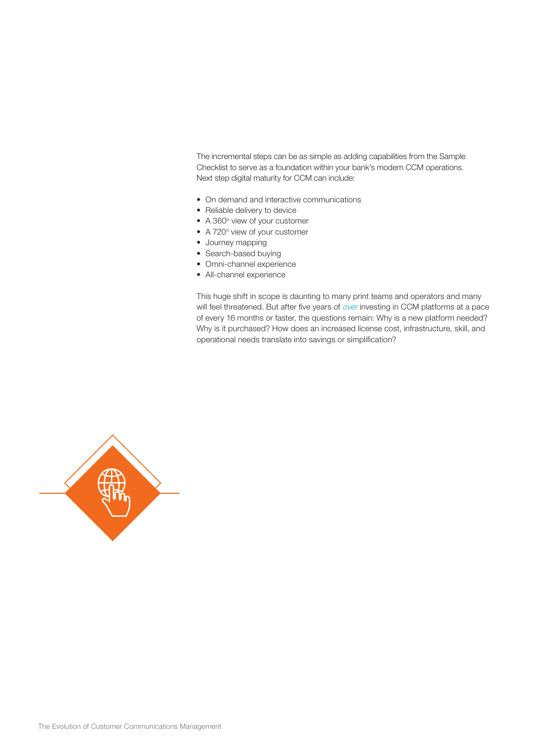The incremental steps can be as simple as adding capabilities from the Sample Checklist to serve as a foundation within your bank's modern CCM operations. Next step digital maturity for CCM can include:

- On demand and interactive communications
- Reliable delivery to device
- A 360° view of your customer
- A 720° view of your customer
- Journey mapping
- Search-based buying
- Omni-channel experience
- All-channel experience

This huge shift in scope is daunting to many print teams and operators and many will feel threatened. But after five years of over investing in CCM platforms at a pace of every 16 months or faster, the questions remain: Why is a new platform needed? Why is it purchased? How does an increased license cost, infrastructure, skill, and operational needs translate into savings or simplification?

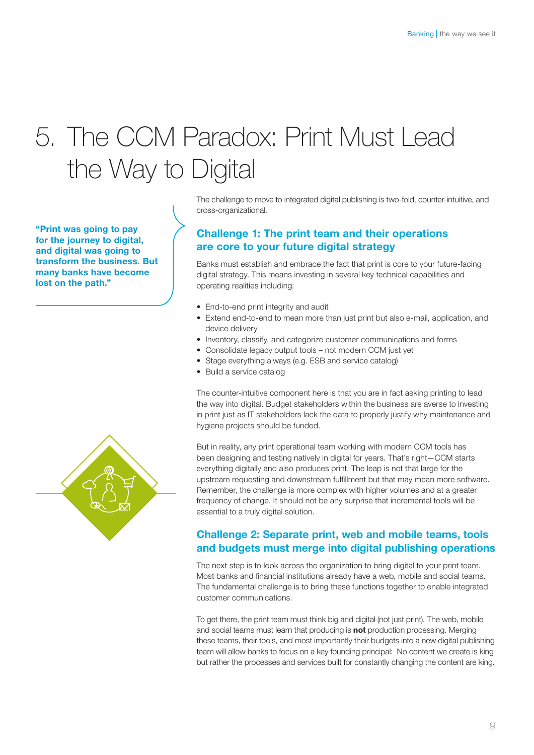# 5. The CCM Paradox: Print Must Lead the Way to Digital

"Print was going to pay for the journey to digital, and digital was going to transform the business. But many banks have become lost on the path."



The challenge to move to integrated digital publishing is two-fold, counter-intuitive, and cross-organizational.

#### Challenge 1: The print team and their operations are core to your future digital strategy

Banks must establish and embrace the fact that print is core to your future-facing digital strategy. This means investing in several key technical capabilities and operating realities including:

- End-to-end print integrity and audit
- Extend end-to-end to mean more than just print but also e-mail, application, and device delivery
- Inventory, classify, and categorize customer communications and forms
- Consolidate legacy output tools not modern CCM just yet
- Stage everything always (e.g. ESB and service catalog)
- Build a service catalog

The counter-intuitive component here is that you are in fact asking printing to lead the way into digital. Budget stakeholders within the business are averse to investing in print just as IT stakeholders lack the data to properly justify why maintenance and hygiene projects should be funded.

But in reality, any print operational team working with modern CCM tools has been designing and testing natively in digital for years. That's right—CCM starts everything digitally and also produces print. The leap is not that large for the upstream requesting and downstream fulfillment but that may mean more software. Remember, the challenge is more complex with higher volumes and at a greater frequency of change. It should not be any surprise that incremental tools will be essential to a truly digital solution.

#### Challenge 2: Separate print, web and mobile teams, tools and budgets must merge into digital publishing operations

The next step is to look across the organization to bring digital to your print team. Most banks and financial institutions already have a web, mobile and social teams. The fundamental challenge is to bring these functions together to enable integrated customer communications.

To get there, the print team must think big and digital (not just print). The web, mobile and social teams must learn that producing is **not** production processing. Merging these teams, their tools, and most importantly their budgets into a new digital publishing team will allow banks to focus on a key founding principal: No content we create is king but rather the processes and services built for constantly changing the content are king.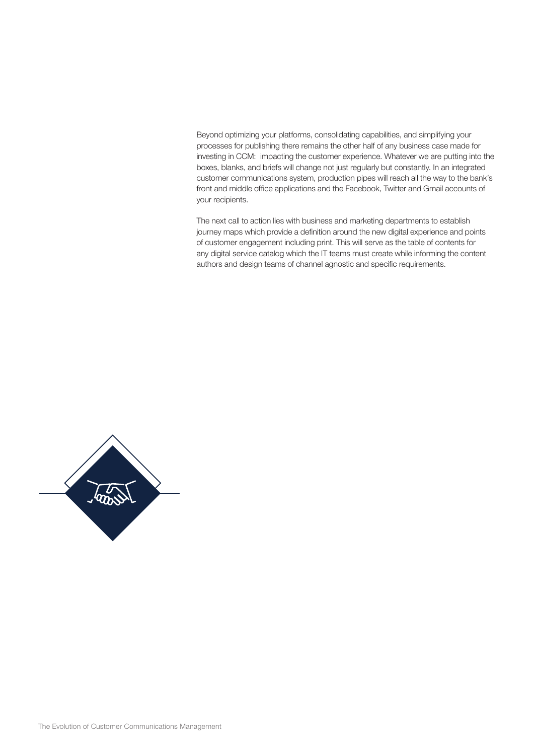Beyond optimizing your platforms, consolidating capabilities, and simplifying your processes for publishing there remains the other half of any business case made for investing in CCM: impacting the customer experience. Whatever we are putting into the boxes, blanks, and briefs will change not just regularly but constantly. In an integrated customer communications system, production pipes will reach all the way to the bank's front and middle office applications and the Facebook, Twitter and Gmail accounts of your recipients.

The next call to action lies with business and marketing departments to establish journey maps which provide a definition around the new digital experience and points of customer engagement including print. This will serve as the table of contents for any digital service catalog which the IT teams must create while informing the content authors and design teams of channel agnostic and specific requirements.

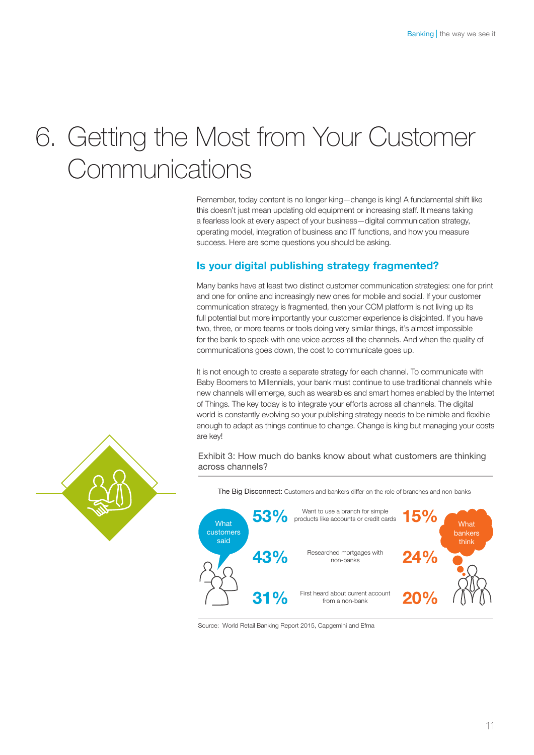### 6. Getting the Most from Your Customer **Communications**

Remember, today content is no longer king—change is king! A fundamental shift like this doesn't just mean updating old equipment or increasing staff. It means taking a fearless look at every aspect of your business—digital communication strategy, operating model, integration of business and IT functions, and how you measure success. Here are some questions you should be asking.

#### Is your digital publishing strategy fragmented?

Many banks have at least two distinct customer communication strategies: one for print and one for online and increasingly new ones for mobile and social. If your customer communication strategy is fragmented, then your CCM platform is not living up its full potential but more importantly your customer experience is disjointed. If you have two, three, or more teams or tools doing very similar things, it's almost impossible for the bank to speak with one voice across all the channels. And when the quality of communications goes down, the cost to communicate goes up.

It is not enough to create a separate strategy for each channel. To communicate with Baby Boomers to Millennials, your bank must continue to use traditional channels while new channels will emerge, such as wearables and smart homes enabled by the Internet of Things. The key today is to integrate your efforts across all channels. The digital world is constantly evolving so your publishing strategy needs to be nimble and flexible enough to adapt as things continue to change. Change is king but managing your costs are key!

Exhibit 3: How much do banks know about what customers are thinking across channels?



The Big Disconnect: Customers and bankers differ on the role of branches and non-banks

Source: World Retail Banking Report 2015, Capgemini and Efma

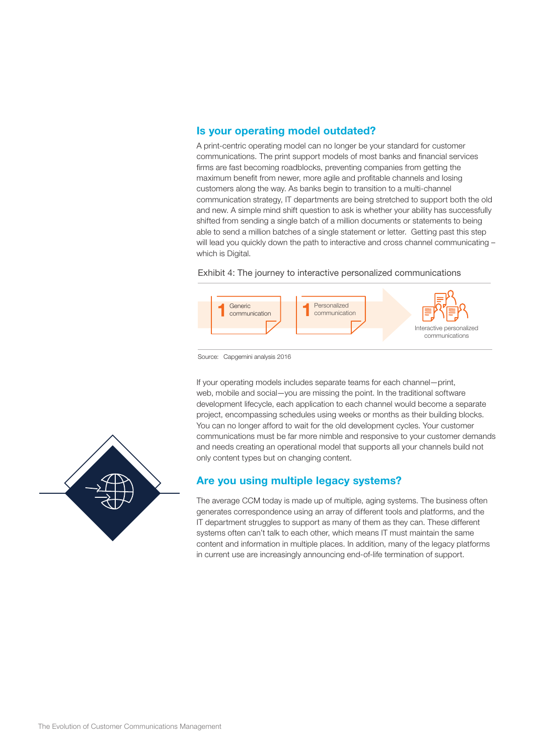#### Is your operating model outdated?

A print-centric operating model can no longer be your standard for customer communications. The print support models of most banks and financial services firms are fast becoming roadblocks, preventing companies from getting the maximum benefit from newer, more agile and profitable channels and losing customers along the way. As banks begin to transition to a multi-channel communication strategy, IT departments are being stretched to support both the old and new. A simple mind shift question to ask is whether your ability has successfully shifted from sending a single batch of a million documents or statements to being able to send a million batches of a single statement or letter. Getting past this step will lead you quickly down the path to interactive and cross channel communicating which is Digital.

Exhibit 4: The journey to interactive personalized communications



Source: Capgemini analysis 2016

If your operating models includes separate teams for each channel—print, web, mobile and social—you are missing the point. In the traditional software development lifecycle, each application to each channel would become a separate project, encompassing schedules using weeks or months as their building blocks. You can no longer afford to wait for the old development cycles. Your customer communications must be far more nimble and responsive to your customer demands and needs creating an operational model that supports all your channels build not only content types but on changing content.

#### Are you using multiple legacy systems?

The average CCM today is made up of multiple, aging systems. The business often generates correspondence using an array of different tools and platforms, and the IT department struggles to support as many of them as they can. These different systems often can't talk to each other, which means IT must maintain the same content and information in multiple places. In addition, many of the legacy platforms in current use are increasingly announcing end-of-life termination of support.

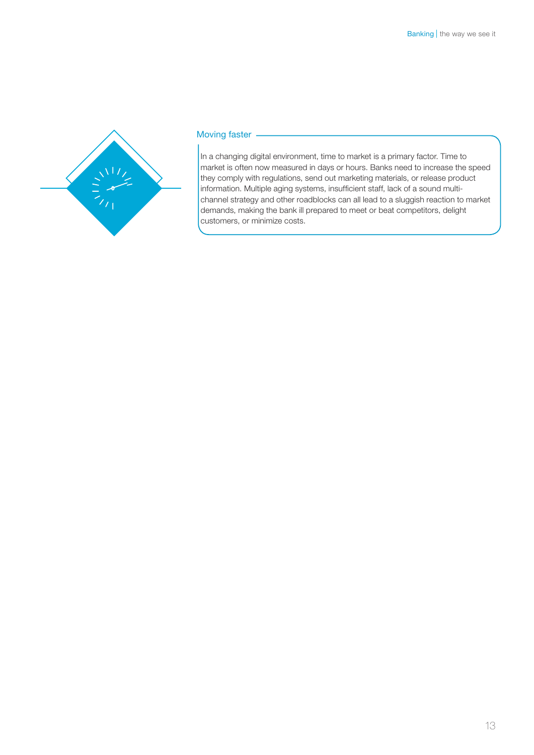

#### Moving faster -

In a changing digital environment, time to market is a primary factor. Time to market is often now measured in days or hours. Banks need to increase the speed they comply with regulations, send out marketing materials, or release product information. Multiple aging systems, insufficient staff, lack of a sound multichannel strategy and other roadblocks can all lead to a sluggish reaction to market demands, making the bank ill prepared to meet or beat competitors, delight customers, or minimize costs.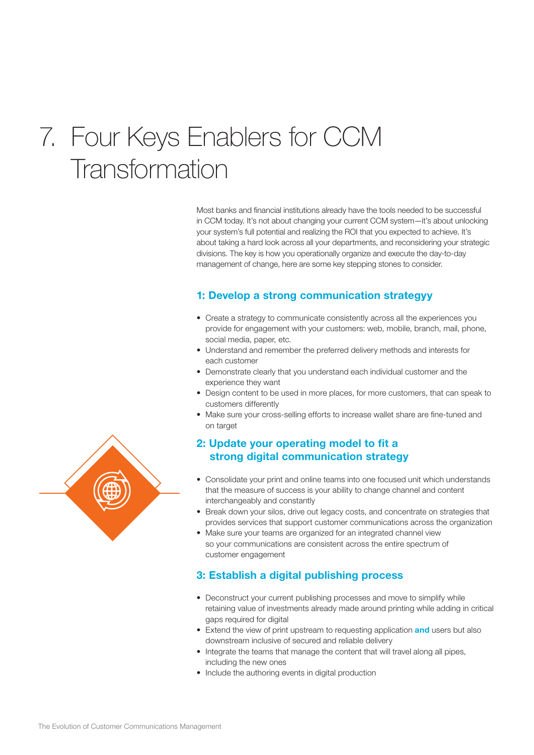### 7. Four Keys Enablers for CCM **Transformation**

Most banks and financial institutions already have the tools needed to be successful in CCM today. It's not about changing your current CCM system—it's about unlocking your system's full potential and realizing the ROI that you expected to achieve. It's about taking a hard look across all your departments, and reconsidering your strategic divisions. The key is how you operationally organize and execute the day-to-day management of change, here are some key stepping stones to consider.

#### 1: Develop a strong communication strategyy

- Create a strategy to communicate consistently across all the experiences you provide for engagement with your customers: web, mobile, branch, mail, phone, social media, paper, etc.
- Understand and remember the preferred delivery methods and interests for each customer
- Demonstrate clearly that you understand each individual customer and the experience they want
- Design content to be used in more places, for more customers, that can speak to customers differently
- Make sure your cross-selling efforts to increase wallet share are fine-tuned and on target

#### 2: Update your operating model to fit a strong digital communication strategy

- Consolidate your print and online teams into one focused unit which understands that the measure of success is your ability to change channel and content interchangeably and constantly
- Break down your silos, drive out legacy costs, and concentrate on strategies that provides services that support customer communications across the organization
- Make sure your teams are organized for an integrated channel view so your communications are consistent across the entire spectrum of customer engagement

#### 3: Establish a digital publishing process

- Deconstruct your current publishing processes and move to simplify while retaining value of investments already made around printing while adding in critical gaps required for digital
- Extend the view of print upstream to requesting application and users but also downstream inclusive of secured and reliable delivery
- Integrate the teams that manage the content that will travel along all pipes, including the new ones
- Include the authoring events in digital production

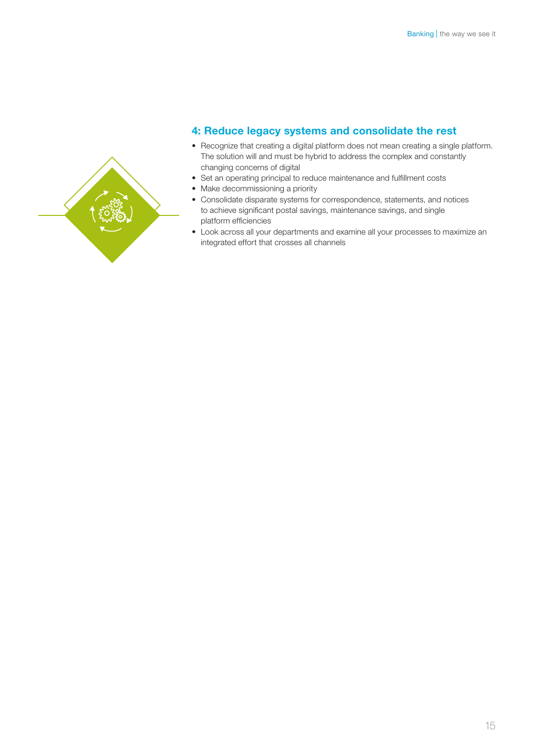

#### 4: Reduce legacy systems and consolidate the rest

- Recognize that creating a digital platform does not mean creating a single platform. The solution will and must be hybrid to address the complex and constantly changing concerns of digital
- Set an operating principal to reduce maintenance and fulfillment costs
- Make decommissioning a priority
- Consolidate disparate systems for correspondence, statements, and notices to achieve significant postal savings, maintenance savings, and single platform efficiencies
- Look across all your departments and examine all your processes to maximize an integrated effort that crosses all channels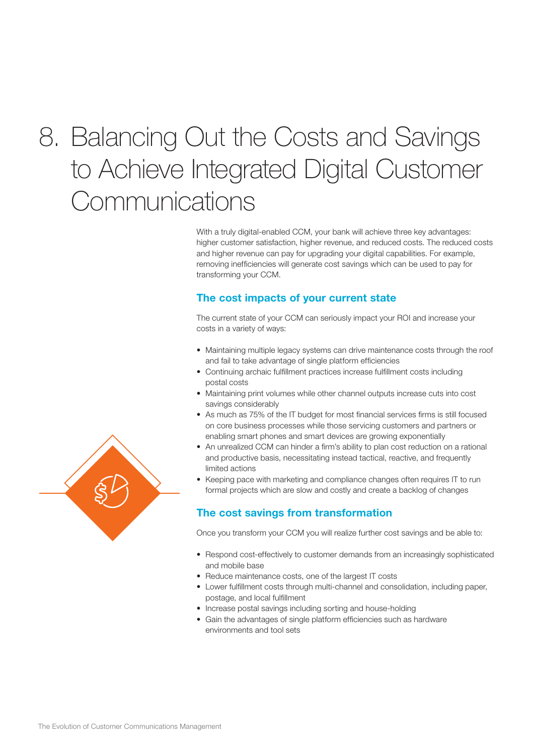## 8. Balancing Out the Costs and Savings to Achieve Integrated Digital Customer **Communications**

With a truly digital-enabled CCM, your bank will achieve three key advantages: higher customer satisfaction, higher revenue, and reduced costs. The reduced costs and higher revenue can pay for upgrading your digital capabilities. For example, removing inefficiencies will generate cost savings which can be used to pay for transforming your CCM.

#### The cost impacts of your current state

The current state of your CCM can seriously impact your ROI and increase your costs in a variety of ways:

- Maintaining multiple legacy systems can drive maintenance costs through the roof and fail to take advantage of single platform efficiencies
- Continuing archaic fulfillment practices increase fulfillment costs including postal costs
- Maintaining print volumes while other channel outputs increase cuts into cost savings considerably
- As much as 75% of the IT budget for most financial services firms is still focused on core business processes while those servicing customers and partners or enabling smart phones and smart devices are growing exponentially
- An unrealized CCM can hinder a firm's ability to plan cost reduction on a rational and productive basis, necessitating instead tactical, reactive, and frequently limited actions
- Keeping pace with marketing and compliance changes often requires IT to run formal projects which are slow and costly and create a backlog of changes

#### The cost savings from transformation

Once you transform your CCM you will realize further cost savings and be able to:

- Respond cost-effectively to customer demands from an increasingly sophisticated and mobile base
- Reduce maintenance costs, one of the largest IT costs
- Lower fulfillment costs through multi-channel and consolidation, including paper, postage, and local fulfillment
- Increase postal savings including sorting and house-holding
- Gain the advantages of single platform efficiencies such as hardware environments and tool sets

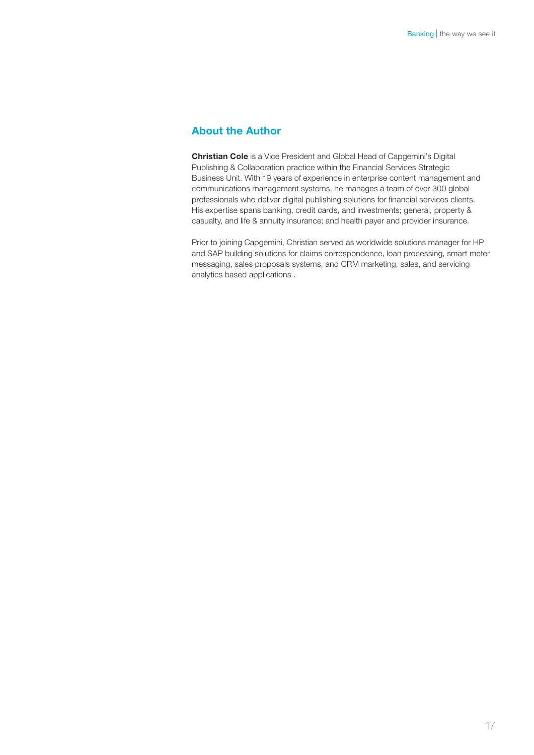#### About the Author

Christian Cole is a Vice President and Global Head of Capgemini's Digital Publishing & Collaboration practice within the Financial Services Strategic Business Unit. With 19 years of experience in enterprise content management and communications management systems, he manages a team of over 300 global professionals who deliver digital publishing solutions for financial services clients. His expertise spans banking, credit cards, and investments; general, property & casualty, and life & annuity insurance; and health payer and provider insurance.

Prior to joining Capgemini, Christian served as worldwide solutions manager for HP and SAP building solutions for claims correspondence, loan processing, smart meter messaging, sales proposals systems, and CRM marketing, sales, and servicing analytics based applications .